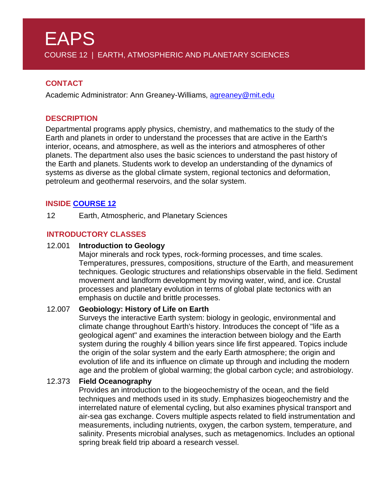# **CONTACT**

Academic Administrator: Ann Greaney-Williams, [agreaney@mit.edu](mailto:agreaney@mit.edu)

### **DESCRIPTION**

Departmental programs apply physics, chemistry, and mathematics to the study of the Earth and planets in order to understand the processes that are active in the Earth's interior, oceans, and atmosphere, as well as the interiors and atmospheres of other planets. The department also uses the basic sciences to understand the past history of the Earth and planets. Students work to develop an understanding of the dynamics of systems as diverse as the global climate system, regional tectonics and deformation, petroleum and geothermal reservoirs, and the solar system.

### **INSIDE [COURSE](http://twelve.mit.edu/mitcourse12/major/) 12**

12 Earth, Atmospheric, and Planetary Sciences

# **INTRODUCTORY CLASSES**

#### 12.001 **Introduction to Geology**

Major minerals and rock types, rock-forming processes, and time scales. Temperatures, pressures, compositions, structure of the Earth, and measurement techniques. Geologic structures and relationships observable in the field. Sediment movement and landform development by moving water, wind, and ice. Crustal processes and planetary evolution in terms of global plate tectonics with an emphasis on ductile and brittle processes.

#### 12.007 **Geobiology: History of Life on Earth**

Surveys the interactive Earth system: biology in geologic, environmental and climate change throughout Earth's history. Introduces the concept of "life as a geological agent" and examines the interaction between biology and the Earth system during the roughly 4 billion years since life first appeared. Topics include the origin of the solar system and the early Earth atmosphere; the origin and evolution of life and its influence on climate up through and including the modern age and the problem of global warming; the global carbon cycle; and astrobiology.

#### 12.373 **Field Oceanography**

Provides an introduction to the biogeochemistry of the ocean, and the field techniques and methods used in its study. Emphasizes biogeochemistry and the interrelated nature of elemental cycling, but also examines physical transport and air-sea gas exchange. Covers multiple aspects related to field instrumentation and measurements, including nutrients, oxygen, the carbon system, temperature, and salinity. Presents microbial analyses, such as metagenomics. Includes an optional spring break field trip aboard a research vessel.